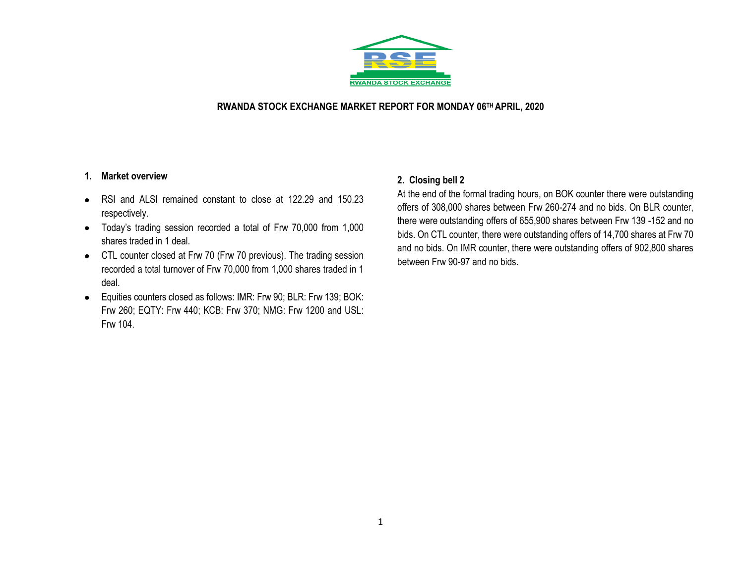

#### **RWANDA STOCK EXCHANGE MARKET REPORT FOR MONDAY 06 TH APRIL, 2020**

#### **1. Market overview**

- RSI and ALSI remained constant to close at 122.29 and 150.23 respectively.
- Today's trading session recorded a total of Frw 70,000 from 1,000 shares traded in 1 deal.
- CTL counter closed at Frw 70 (Frw 70 previous). The trading session recorded a total turnover of Frw 70,000 from 1,000 shares traded in 1 deal.
- Equities counters closed as follows: IMR: Frw 90; BLR: Frw 139; BOK: Frw 260; EQTY: Frw 440; KCB: Frw 370; NMG: Frw 1200 and USL: Frw 104.

#### **2. Closing bell 2**

At the end of the formal trading hours, on BOK counter there were outstanding offers of 308,000 shares between Frw 260-274 and no bids. On BLR counter, there were outstanding offers of 655,900 shares between Frw 139 -152 and no bids. On CTL counter, there were outstanding offers of 14,700 shares at Frw 70 and no bids. On IMR counter, there were outstanding offers of 902,800 shares between Frw 90-97 and no bids.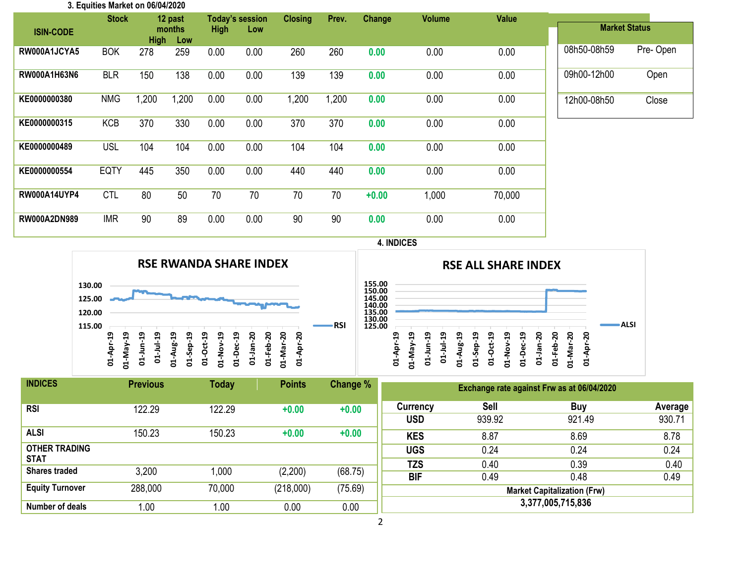| 3. Equities Market on 06/04/2020 |              |       |                              |      |                        |                |       |         |               |              |                      |          |
|----------------------------------|--------------|-------|------------------------------|------|------------------------|----------------|-------|---------|---------------|--------------|----------------------|----------|
|                                  | <b>Stock</b> |       | 12 past                      |      | <b>Today's session</b> | <b>Closing</b> | Prev. | Change  | <b>Volume</b> | <b>Value</b> |                      |          |
| <b>ISIN-CODE</b>                 |              |       | months<br><b>High</b><br>Low |      | <b>High</b><br>Low     |                |       |         |               |              | <b>Market Status</b> |          |
| RW000A1JCYA5                     | <b>BOK</b>   | 278   | 259                          | 0.00 | 0.00                   | 260            | 260   | 0.00    | 0.00          | 0.00         | 08h50-08h59          | Pre-Open |
| <b>RW000A1H63N6</b>              | <b>BLR</b>   | 150   | 138                          | 0.00 | 0.00                   | 139            | 139   | 0.00    | 0.00          | 0.00         | 09h00-12h00          | Open     |
| KE0000000380                     | <b>NMG</b>   | 1,200 | 1,200                        | 0.00 | 0.00                   | 1,200          | 1,200 | 0.00    | 0.00          | 0.00         | 12h00-08h50          | Close    |
| KE0000000315                     | <b>KCB</b>   | 370   | 330                          | 0.00 | 0.00                   | 370            | 370   | 0.00    | 0.00          | 0.00         |                      |          |
| KE0000000489                     | <b>USL</b>   | 104   | 104                          | 0.00 | 0.00                   | 104            | 104   | 0.00    | 0.00          | 0.00         |                      |          |
| KE0000000554                     | <b>EQTY</b>  | 445   | 350                          | 0.00 | 0.00                   | 440            | 440   | 0.00    | 0.00          | 0.00         |                      |          |
| <b>RW000A14UYP4</b>              | <b>CTL</b>   | 80    | 50                           | 70   | 70                     | 70             | 70    | $+0.00$ | 1,000         | 70,000       |                      |          |
| <b>RW000A2DN989</b>              | <b>IMR</b>   | 90    | 89                           | 0.00 | 0.00                   | 90             | 90    | 0.00    | 0.00          | 0.00         |                      |          |

## **4. INDICES**



|                                                |    |              |    |           | <b>RSE ALL SHARE INDEX</b> |          |               |               |             |         |          |           |        |      |  |
|------------------------------------------------|----|--------------|----|-----------|----------------------------|----------|---------------|---------------|-------------|---------|----------|-----------|--------|------|--|
| 155.00<br>150.00<br>145.00<br>140.00<br>135.00 |    |              |    |           |                            |          |               |               |             |         |          |           |        |      |  |
| 130.00<br>125.00                               | ្អ | ಇ            | ဒ္ |           | ಇ                          | ្ព       | å             | ಇ             | ಇ           | នុ      | នុ       |           | ន      | ALSI |  |
|                                                | ដ  | λg<br>Σ<br>5 | 금  | 01-Jul-19 | Aug-<br>↤                  | Sep<br>ਏ | <b>D1-Oct</b> | <b>D1-Nov</b> | ن<br>م<br>긍 | 01-Jan- | ÷ep<br>ਏ | 01-Mar-20 | ą<br>ៜ |      |  |

| <b>INDICES</b>                      | <b>Previous</b> | Today  | <b>Points</b> | Change % | Exchange rate against Frw as at 06/04/2020 |                |                   |                   |  |  |  |  |
|-------------------------------------|-----------------|--------|---------------|----------|--------------------------------------------|----------------|-------------------|-------------------|--|--|--|--|
| <b>RSI</b>                          | 122.29          | 122.29 | $+0.00$       | $+0.00$  | Currency<br><b>USD</b>                     | Sell<br>939.92 | Buy<br>921.49     | Average<br>930.71 |  |  |  |  |
| <b>ALSI</b>                         | 150.23          | 150.23 | $+0.00$       | $+0.00$  | <b>KES</b>                                 | 8.87           | 8.69              | 8.78              |  |  |  |  |
| <b>OTHER TRADING</b><br><b>STAT</b> |                 |        |               |          | <b>UGS</b>                                 | 0.24           | 0.24              | 0.24              |  |  |  |  |
| <b>Shares traded</b>                | 3,200           | 1,000  | (2,200)       | (68.75)  | <b>TZS</b><br><b>BIF</b>                   | 0.40<br>0.49   | 0.39<br>0.48      | 0.40<br>0.49      |  |  |  |  |
| <b>Equity Turnover</b>              | 288,000         | 70,000 | (218,000)     | (75.69)  | <b>Market Capitalization (Frw)</b>         |                |                   |                   |  |  |  |  |
| Number of deals                     | 0.00            | 1.00   | 0.00          | 0.00     |                                            |                | 3,377,005,715,836 |                   |  |  |  |  |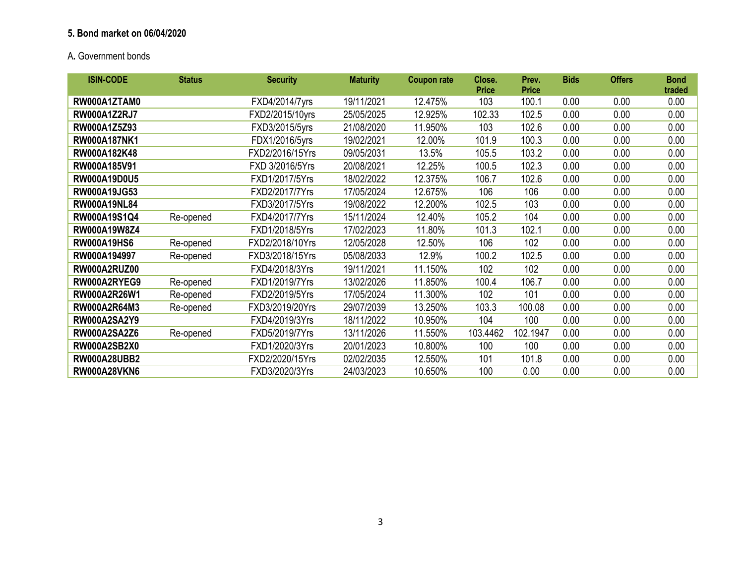## **5. Bond market on 06/04/2020**

# A**.** Government bonds

| <b>ISIN-CODE</b>    | <b>Status</b> | <b>Security</b> | <b>Maturity</b> | <b>Coupon rate</b> | Close.<br><b>Price</b> | Prev.<br><b>Price</b> | <b>Bids</b> | <b>Offers</b> | <b>Bond</b><br>traded |
|---------------------|---------------|-----------------|-----------------|--------------------|------------------------|-----------------------|-------------|---------------|-----------------------|
| RW000A1ZTAM0        |               | FXD4/2014/7yrs  | 19/11/2021      | 12.475%            | 103                    | 100.1                 | 0.00        | 0.00          | 0.00                  |
| <b>RW000A1Z2RJ7</b> |               | FXD2/2015/10yrs | 25/05/2025      | 12.925%            | 102.33                 | 102.5                 | 0.00        | 0.00          | 0.00                  |
| RW000A1Z5Z93        |               | FXD3/2015/5yrs  | 21/08/2020      | 11.950%            | 103                    | 102.6                 | 0.00        | 0.00          | 0.00                  |
| <b>RW000A187NK1</b> |               | FDX1/2016/5yrs  | 19/02/2021      | 12.00%             | 101.9                  | 100.3                 | 0.00        | 0.00          | 0.00                  |
| RW000A182K48        |               | FXD2/2016/15Yrs | 09/05/2031      | 13.5%              | 105.5                  | 103.2                 | 0.00        | 0.00          | 0.00                  |
| RW000A185V91        |               | FXD 3/2016/5Yrs | 20/08/2021      | 12.25%             | 100.5                  | 102.3                 | 0.00        | 0.00          | 0.00                  |
| <b>RW000A19D0U5</b> |               | FXD1/2017/5Yrs  | 18/02/2022      | 12.375%            | 106.7                  | 102.6                 | 0.00        | 0.00          | 0.00                  |
| RW000A19JG53        |               | FXD2/2017/7Yrs  | 17/05/2024      | 12.675%            | 106                    | 106                   | 0.00        | 0.00          | 0.00                  |
| <b>RW000A19NL84</b> |               | FXD3/2017/5Yrs  | 19/08/2022      | 12.200%            | 102.5                  | 103                   | 0.00        | 0.00          | 0.00                  |
| RW000A19S1Q4        | Re-opened     | FXD4/2017/7Yrs  | 15/11/2024      | 12.40%             | 105.2                  | 104                   | 0.00        | 0.00          | 0.00                  |
| RW000A19W8Z4        |               | FXD1/2018/5Yrs  | 17/02/2023      | 11.80%             | 101.3                  | 102.1                 | 0.00        | 0.00          | 0.00                  |
| <b>RW000A19HS6</b>  | Re-opened     | FXD2/2018/10Yrs | 12/05/2028      | 12.50%             | 106                    | 102                   | 0.00        | 0.00          | 0.00                  |
| RW000A194997        | Re-opened     | FXD3/2018/15Yrs | 05/08/2033      | 12.9%              | 100.2                  | 102.5                 | 0.00        | 0.00          | 0.00                  |
| <b>RW000A2RUZ00</b> |               | FXD4/2018/3Yrs  | 19/11/2021      | 11.150%            | 102                    | 102                   | 0.00        | 0.00          | 0.00                  |
| RW000A2RYEG9        | Re-opened     | FXD1/2019/7Yrs  | 13/02/2026      | 11.850%            | 100.4                  | 106.7                 | 0.00        | 0.00          | 0.00                  |
| RW000A2R26W1        | Re-opened     | FXD2/2019/5Yrs  | 17/05/2024      | 11.300%            | 102                    | 101                   | 0.00        | 0.00          | 0.00                  |
| RW000A2R64M3        | Re-opened     | FXD3/2019/20Yrs | 29/07/2039      | 13.250%            | 103.3                  | 100.08                | 0.00        | 0.00          | 0.00                  |
| <b>RW000A2SA2Y9</b> |               | FXD4/2019/3Yrs  | 18/11/2022      | 10.950%            | 104                    | 100                   | 0.00        | 0.00          | 0.00                  |
| <b>RW000A2SA2Z6</b> | Re-opened     | FXD5/2019/7Yrs  | 13/11/2026      | 11.550%            | 103.4462               | 102.1947              | 0.00        | 0.00          | 0.00                  |
| <b>RW000A2SB2X0</b> |               | FXD1/2020/3Yrs  | 20/01/2023      | 10.800%            | 100                    | 100                   | 0.00        | 0.00          | 0.00                  |
| <b>RW000A28UBB2</b> |               | FXD2/2020/15Yrs | 02/02/2035      | 12.550%            | 101                    | 101.8                 | 0.00        | 0.00          | 0.00                  |
| <b>RW000A28VKN6</b> |               | FXD3/2020/3Yrs  | 24/03/2023      | 10.650%            | 100                    | 0.00                  | 0.00        | 0.00          | 0.00                  |